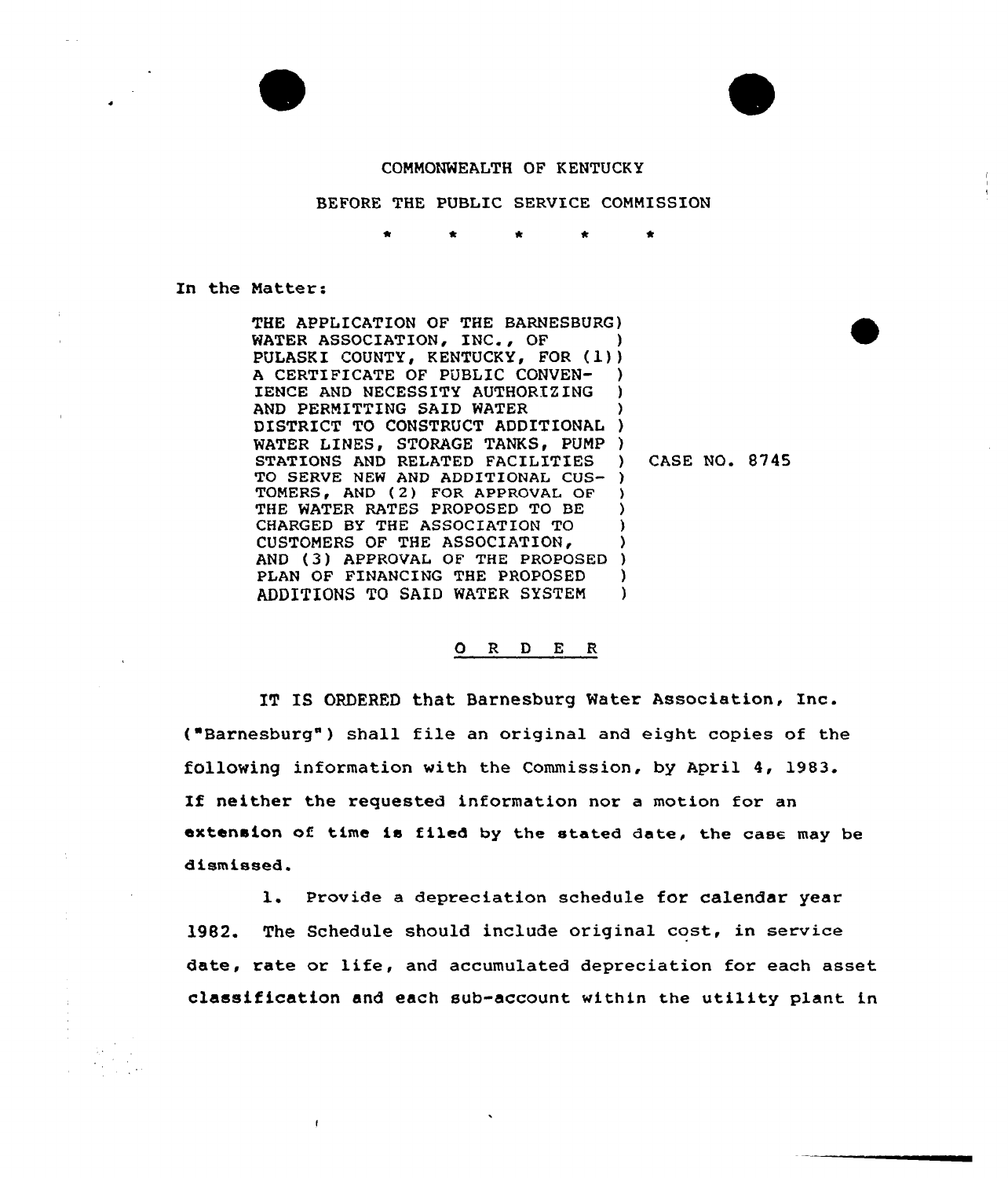

## COMMONWEALTH OF KENTUCKY

## BEFORE THE PUBLIC SERVICE COMMISSION

In the Natter:

 $\mathbf{I}$ 

THE APPLICATION OF THE BARNESBURG ) WATER ASSOCIATION, INC., OF PULASKI COUNTY, KENTUCKY, FOR (1) A CERTIFICATE OF PUBLIC CONVEN-IENCE AND NECESSITY AUTHORIZING AND PERMITTING SAID WATER DISTRICT TO CONSTRUCT ADDITIONAL WATER LINES, STORAGE TANKS, PUMP ) STATIONS AND RELATED FACILITIES TG SERVE NEW AND ADDITIONAL CUS-) TOMERS, AND (2) FOR APPROVAL OF THE WATER RATES PROPOSED TO BE CHARGED BY THE ASSOCIATION TO CUSTOMERS OF THE ASSOCIATION, AND (3) APPROVAL GF THE PRGPGBED PLAN OF FINANCING THE PROPOSED ADDITIONS TO SAID WATER SYSTEM ) ) ) ) ) ) ) ) ) ) )

) CASE NO. 8745

## ORDER

IT IS ORDERED that Barnesburg Water Association, Inc. ("Barnesburg") shall file an original and eight copies of the following information with the Commission, by April 4, 1983. If neither the requested information nor <sup>a</sup> motion for an extension of time is filed by the stated date, the case may be dismissed.

l. Provide <sup>a</sup> depreciation schedule for calendar year 1982. The Schedule should include original cost, in service date, rate or life, and accumulated depreciation for each asset classification and each sub-account within the utility plant in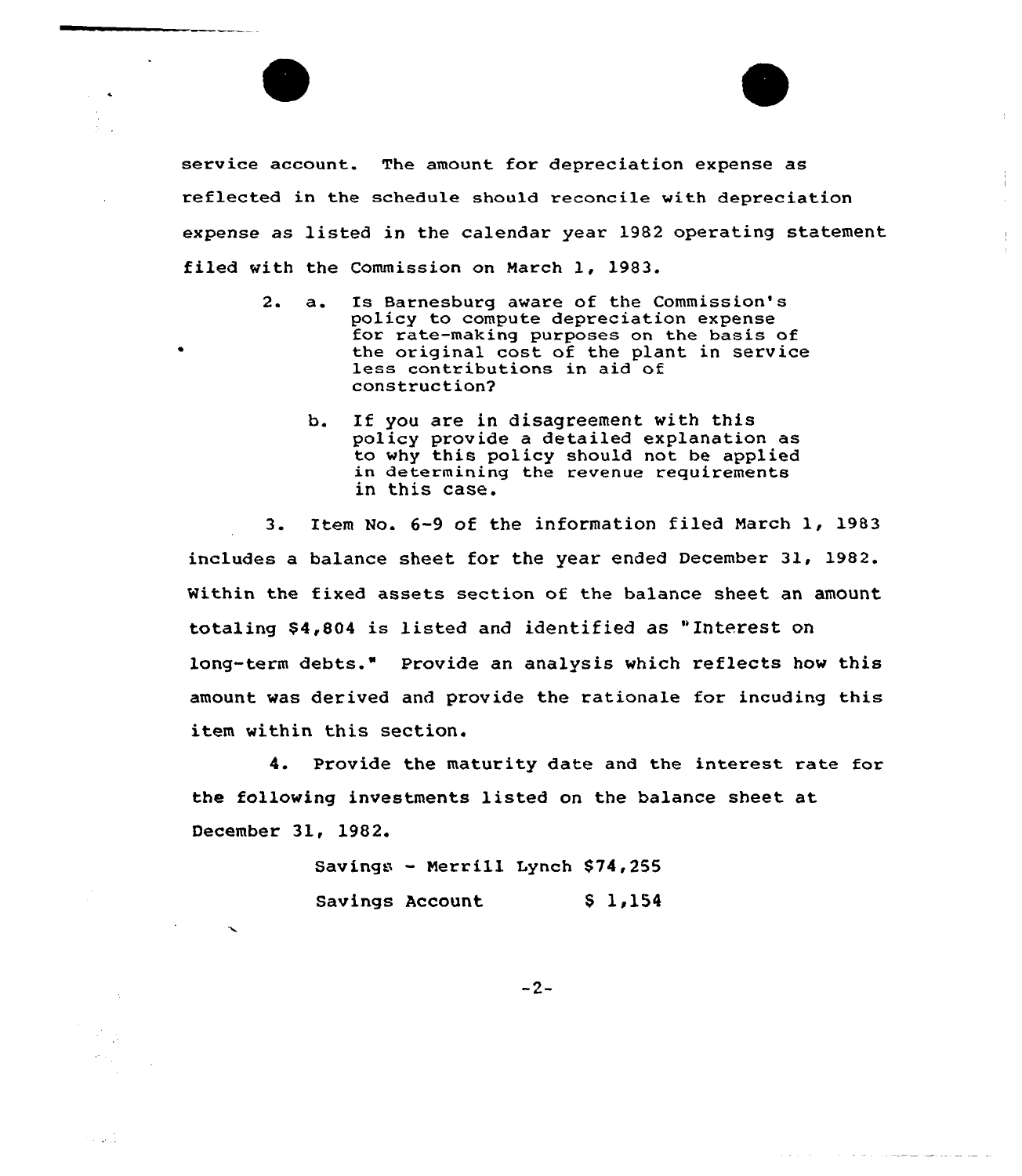service account. The amount for depreciation expense as reflected in the schedule should reconcile with depreciation expense as listed in the calendar year 1982 operating statement filed with the Commission on March 1, 1983.

 $\frac{1}{2}$ 

the contract of the contract of the contract contract of the contract of the contract of the contract of the contract of the contract of the contract of the contract of the contract of the contract of the contract of the c

- 2. a. Is Barnesburg aware of the Commission's<br>policy to compute depreciation expense for rate-making purposes on the basis of the original cost of the plant in service less contributions in aid of construction2
	- b. If you are in disagreement with this policy provide a detailed explanation as to why this policy should not he applied in determining the revenue requirements in this case.

3. Item No. 6-9 of the information filed March 1, 1983 includes a balance sheet for the year ended December 31, 1982. Within the fixed assets section of the balance sheet an amount totaling \$4,804 is listed and identified as "Interest on long-term debts." Provide an analysis which reflects how this amount was derived and provide the rationale for incuding this item within this section.

4. Provide the maturity date and the interest rate for the following investments listed on the balance sheet at December 31, 1982.

> Savings — Merrill Lynch \$74,255 Savings Account \$ 1,154

n sil

 $-2-$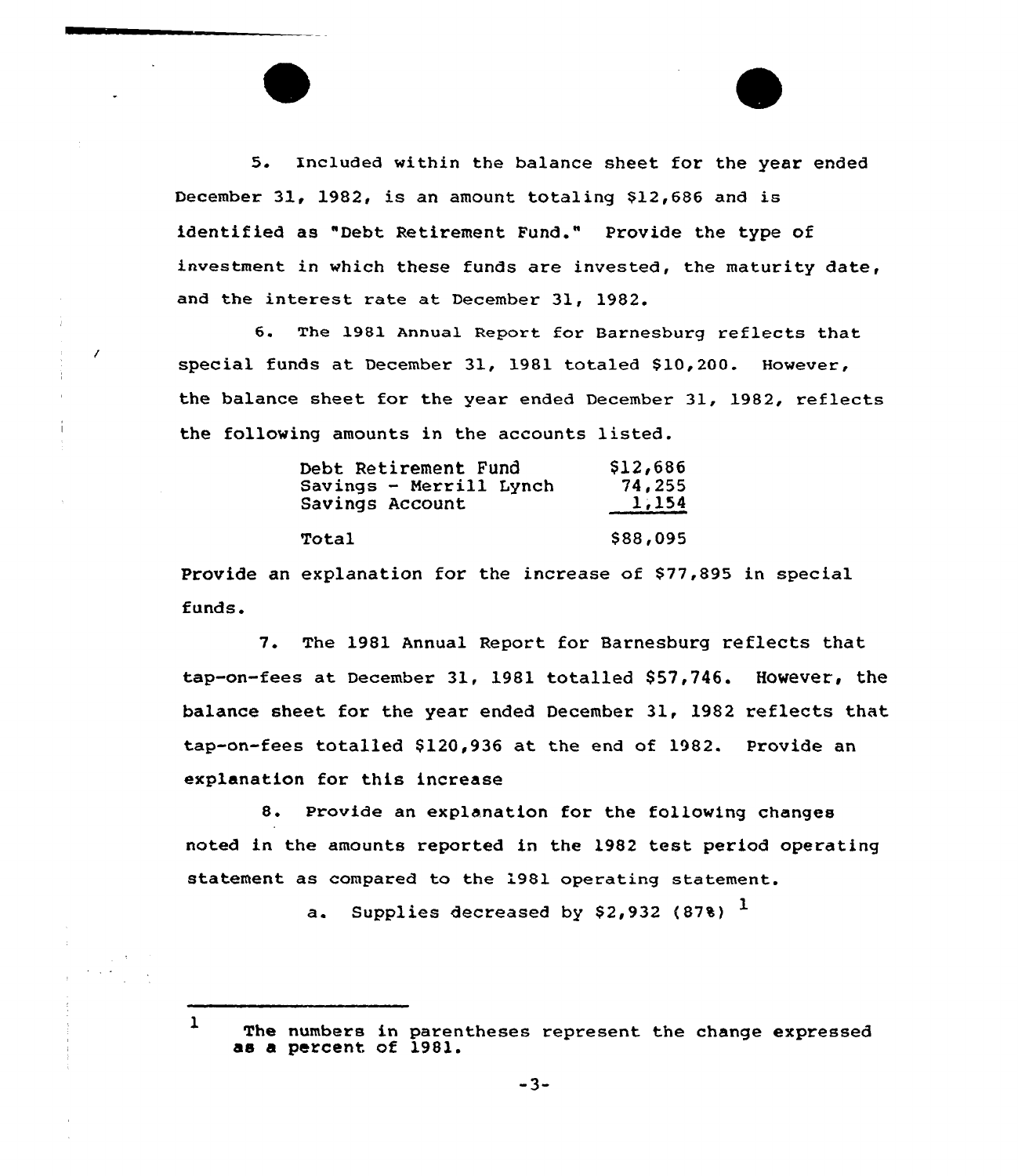5. Included within the balance sheet for the year ended December 31, 1982, is an amount totaling \$12,686 and is identified as "Debt Retirement Fund." Provide the type of investment in which these funds are invested, the maturity date, and the interest rate at December 31, 1982.

6. The 1981 Annual Report for Barnesburg reflects that special funds at December 31, 1981 totaled \$10,200. However, the balance sheet for the year ended December 31, 1982, reflects the following amounts in the accounts listed.

| Debt Retirement Fund    | \$12,686 |
|-------------------------|----------|
| Savings - Merrill Lynch | 74,255   |
| Savings Account         | 1,154    |
| Total                   | \$88,095 |
|                         |          |

 $\prime$ 

Provide an explanation for the increase of \$77,895 in special funds.

7. The 1981 Annual Report for Barnesburg reflects that tap-on-fees at December 31, 1981 totalled \$57,746. However, the balance sheet for the year ended December 31, 1982 reflects that tap-on-fees totalled \$120,936 at the end of 1982. Provide an explanation for this increase

8. Provide an explanation for the following changes noted in the amounts reported in the 1982 test period operating statement as compared to the 1981 operating statement.

a. Supplies decreased by \$2,932 (87%)  $<sup>1</sup>$ </sup>

<sup>1</sup> The numbers in parentheses represent the change expressed as a percent of 1981.

-3-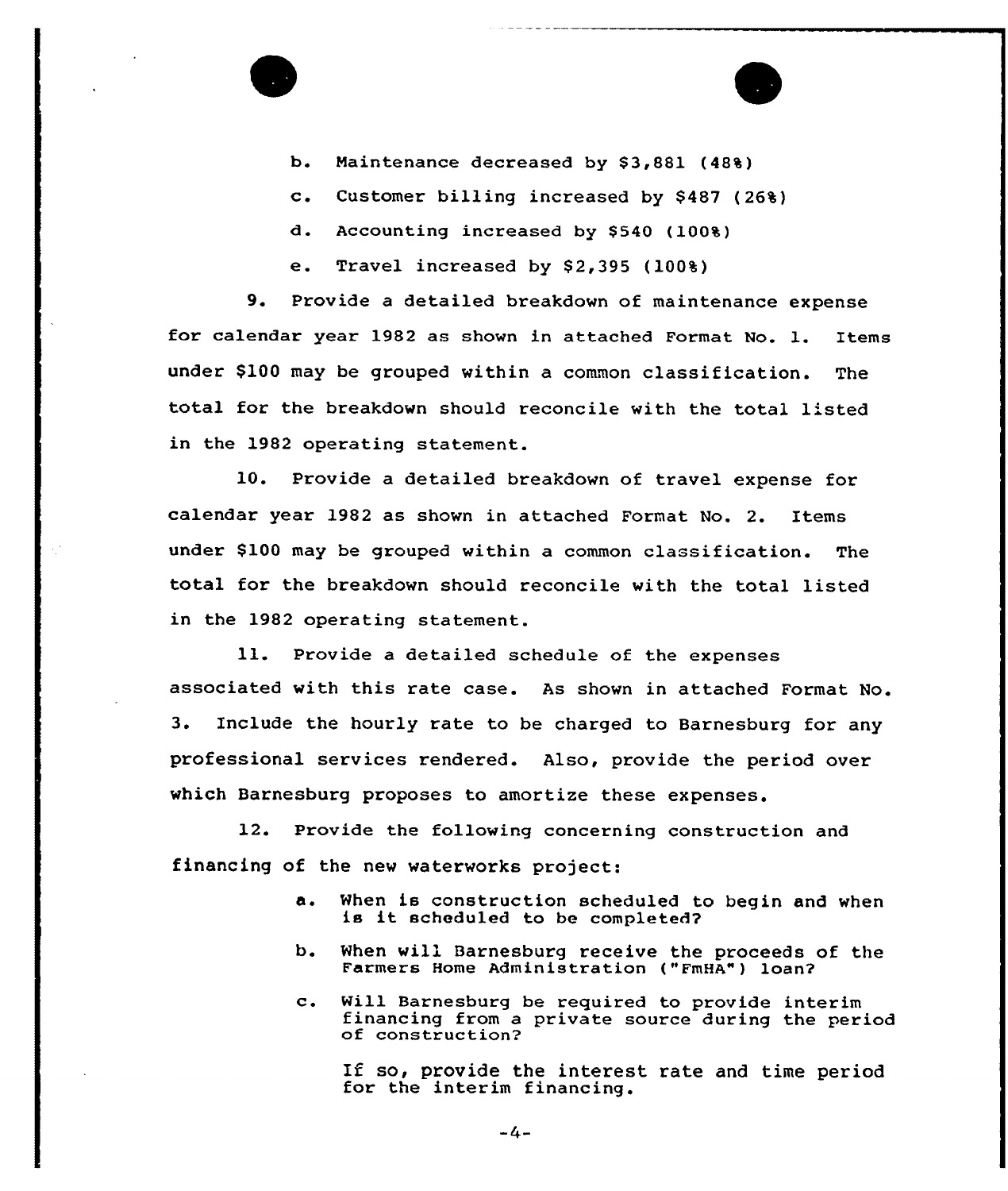

- c. Customer billing increased by \$<sup>487</sup> (26%)
- d. Accounting increased by \$540 (100%)

e. Travel increased by  $$2,395$  (100%)

9. Provide <sup>a</sup> detailed breakdown of maintenance expense for calendar year 1982 as shown in attached Format No. 1. Items under \$100 may be grouped within a common classification. The total for the breakdown should reconcile with the total listed in the 1982 operating statement.

10. Provide a detailed breakdown of travel expense for calendar year 1982 as shown in attached Format No. 2. Items under \$100 may be grouped within a common classification. The total for the breakdown should reconcile with the total listed in the 1982 operating statement.

ll. Provide <sup>a</sup> detailed schedule of the expenses associated with this rate case. As shown in attached Format No. 3. Include the hourly rate to be charged to Barnesburg for any professional services rendered. Also, provide the period over which Barnesburg proposes to amortize these expenses.

12. Provide the following concerning construction and financing of the new waterworks project:

- a. When is construction scheduled to begin and when is it scheduled to be completed?
- b. When will Barnesburg receive the proceeds of the Farmers Home Administration ("FmHA") loan?
- c. Will Barnesburg be required to provide interim financing from <sup>a</sup> private source during the period of construction'2

If so, provide the interest rate and time period for the interim financing.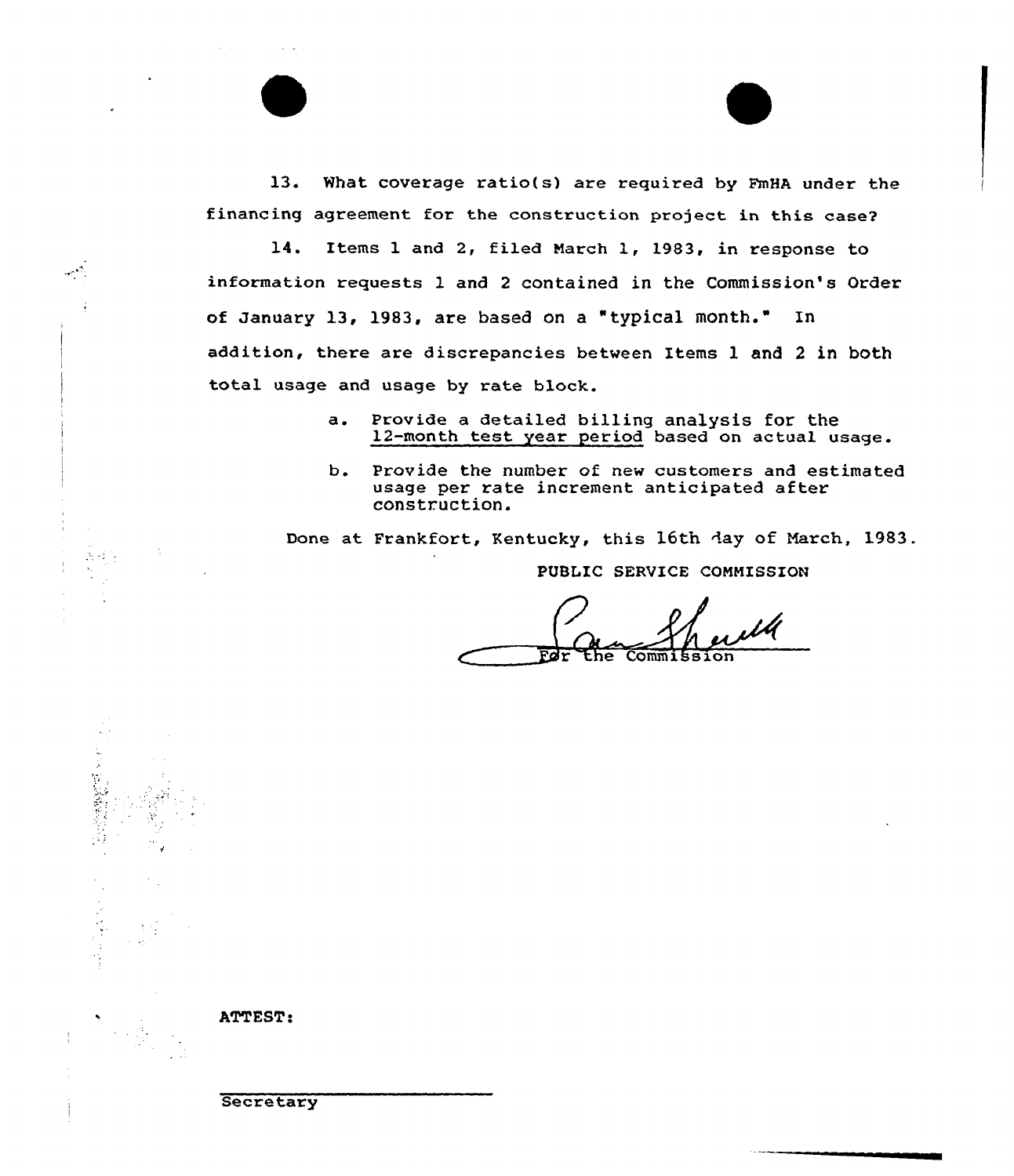13. What coverage ratio(s) are required by FmHA under the financing agreement for the construction project in this case'

14. Items 1 and 2, filed March 1, 1983, in response to information requests 1 and 2 contained in the Commission's Order of January 13, 1983, are based on a "typical month." In addition, there are discrepancies between Items 1 and 2 in both total usage and usage by rate block.

- a. Provide a detailed billing analysis for the 12-month test year period based on actual usage.
- b. Provide the number of new customers and estimated usage per rate increment anticipated after construction.

Done at Frankfort, Kentucky, this 16th day of March, 1983. PUBLIC SERVICE CONMISSION

the Commissic



ATTEST:

يشميها

 $\mathcal{M}(\mathcal{A})$  .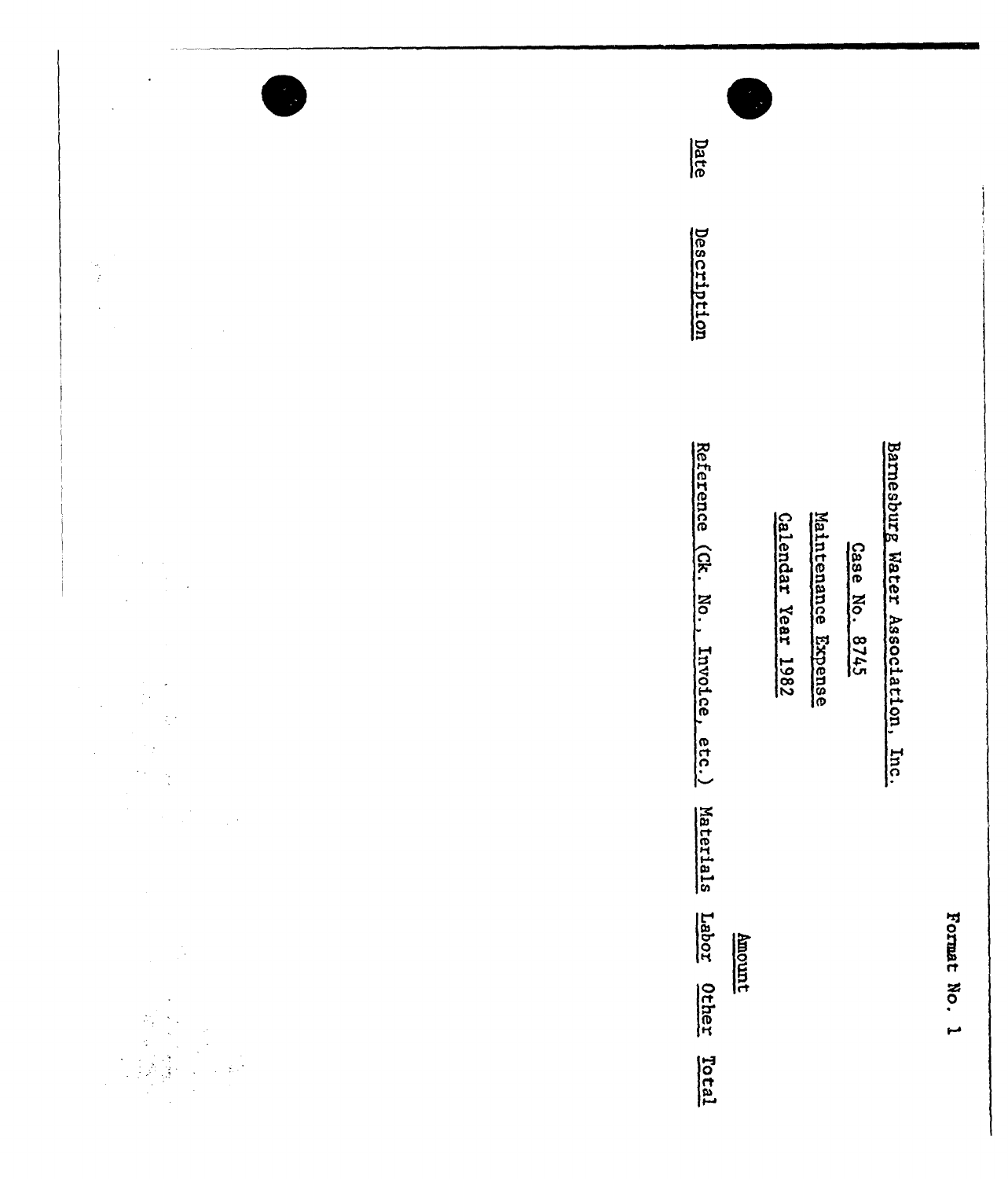| $\bullet$<br>$\downarrow$<br>大学<br>$\mathcal{A}$   | Date<br>Description                                                                                                                   |              |
|----------------------------------------------------|---------------------------------------------------------------------------------------------------------------------------------------|--------------|
| $\sim$<br>$\sim$<br>$\frac{1}{2}$<br>$\frac{1}{2}$ | Reference<br>Barnesburg Water Association,<br>Maintenance Expense<br>Calendar Year 1982<br>Case No. 8745<br>(Ck.<br>$M_0$<br>Invoice, |              |
| $\langle \cdot \rangle_{\mathcal{E}}$<br>Ŷ,        | etc.)<br>Inc.<br>Materials<br>Labor Other<br><u>hnomt</u><br><u>Total</u>                                                             | Format No. 1 |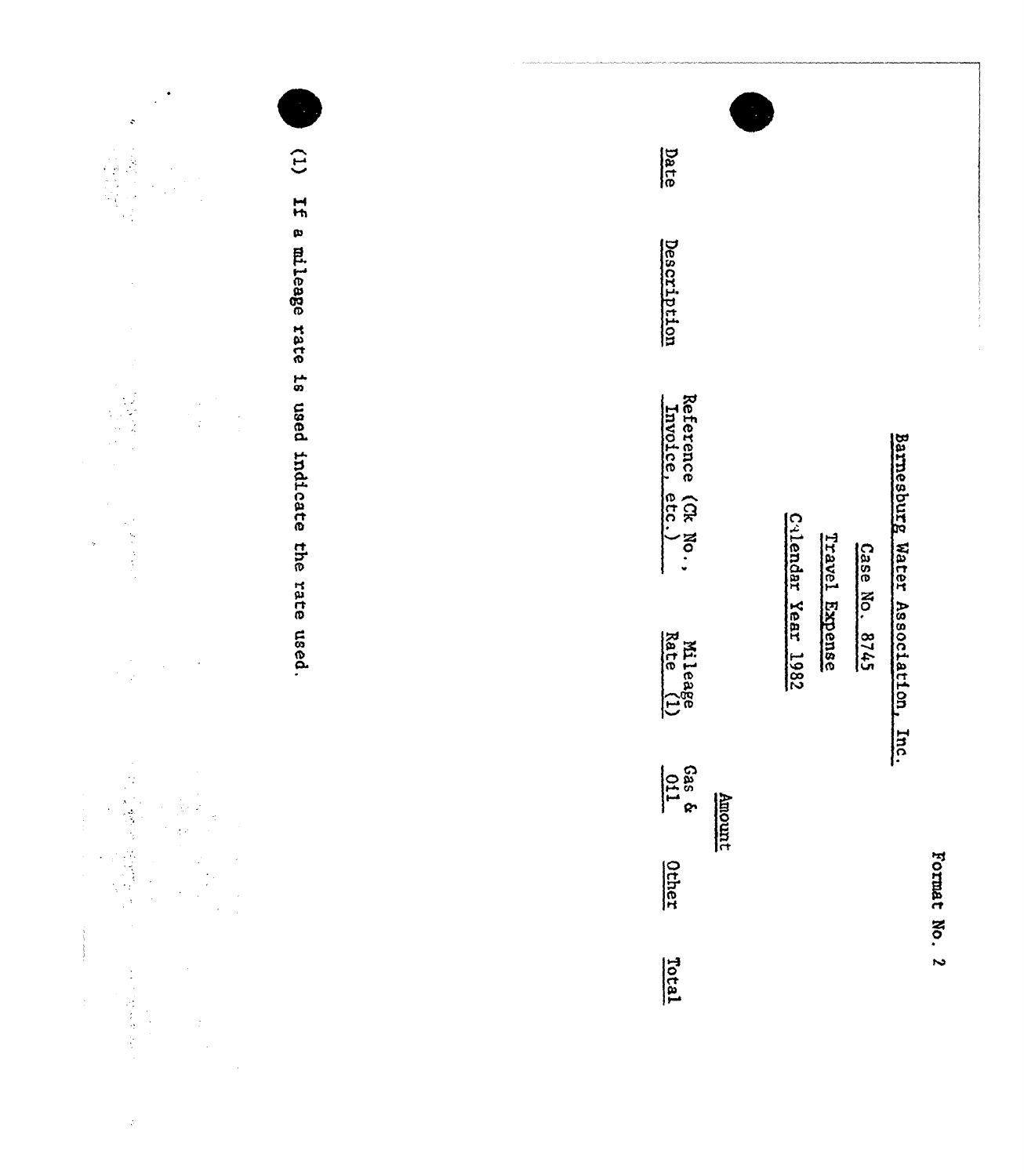| $\ddot{\textbf{v}}$                                                                                                                                                                                                                                                                                                                                                                                                                              | $\widehat{c}$                   | Date                                 |                                                       |
|--------------------------------------------------------------------------------------------------------------------------------------------------------------------------------------------------------------------------------------------------------------------------------------------------------------------------------------------------------------------------------------------------------------------------------------------------|---------------------------------|--------------------------------------|-------------------------------------------------------|
|                                                                                                                                                                                                                                                                                                                                                                                                                                                  | $\frac{1}{2}$<br>a mileage rate | Description                          |                                                       |
| $\overline{\phantom{a}}$<br>$\frac{1}{\sqrt{2}}\left(\frac{1}{2}\right)$<br>$\frac{1}{2} \sum_{i=1}^{n} \frac{1}{2} \sum_{i=1}^{n} \frac{1}{2} \sum_{i=1}^{n} \frac{1}{2} \sum_{i=1}^{n} \frac{1}{2} \sum_{i=1}^{n} \frac{1}{2} \sum_{i=1}^{n} \frac{1}{2} \sum_{i=1}^{n} \frac{1}{2} \sum_{i=1}^{n} \frac{1}{2} \sum_{i=1}^{n} \frac{1}{2} \sum_{i=1}^{n} \frac{1}{2} \sum_{i=1}^{n} \frac{1}{2} \sum_{i=1}^{n} \frac{1}{2} \sum_{i=1}^{n$<br>ý | is used indicate the rate       | Reference (Ck No.,<br>Invoice, etc.) | Barnesburg Water Association,                         |
| $\frac{1}{2} \frac{d^2}{dx^2}$<br>$\downarrow$<br>$\sim$ $\sim$                                                                                                                                                                                                                                                                                                                                                                                  | used.                           | Mileage<br>Rate (1)                  | C41endar Year 1982<br>Travel Expense<br>Case No. 8745 |
|                                                                                                                                                                                                                                                                                                                                                                                                                                                  |                                 | $\frac{5}{2}$<br>hount               | Inc.                                                  |
|                                                                                                                                                                                                                                                                                                                                                                                                                                                  |                                 | <u>Other</u>                         | Format No. 2                                          |
| $\frac{1}{2}$<br>医类体系<br>$\frac{1}{2}$                                                                                                                                                                                                                                                                                                                                                                                                           |                                 | Total                                |                                                       |

 $\tilde{\mathcal{L}}$